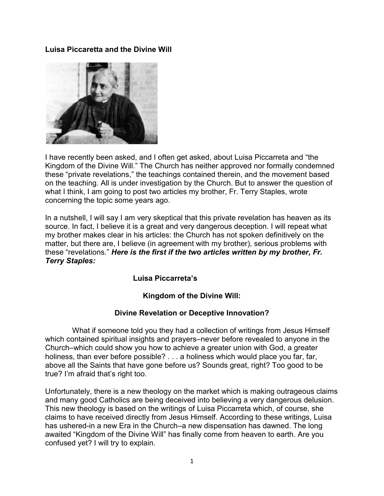**Luisa Piccaretta and the Divine Will** 



I have recently been asked, and I often get asked, about Luisa Piccarreta and "the Kingdom of the Divine Will." The Church has neither approved nor formally condemned these "private revelations," the teachings contained therein, and the movement based on the teaching. All is under investigation by the Church. But to answer the question of what I think, I am going to post two articles my brother, Fr. Terry Staples, wrote concerning the topic some years ago.

In a nutshell, I will say I am very skeptical that this private revelation has heaven as its source. In fact, I believe it is a great and very dangerous deception. I will repeat what my brother makes clear in his articles: the Church has not spoken definitively on the matter, but there are, I believe (in agreement with my brother), serious problems with these "revelations." *Here is the first if the two articles written by my brother, Fr. Terry Staples:* 

# **Luisa Piccarreta's**

# **Kingdom of the Divine Will:**

#### **Divine Revelation or Deceptive Innovation?**

 What if someone told you they had a collection of writings from Jesus Himself which contained spiritual insights and prayers–never before revealed to anyone in the Church–which could show you how to achieve a greater union with God, a greater holiness, than ever before possible? . . . a holiness which would place you far, far, above all the Saints that have gone before us? Sounds great, right? Too good to be true? I'm afraid that's right too.

Unfortunately, there is a new theology on the market which is making outrageous claims and many good Catholics are being deceived into believing a very dangerous delusion. This new theology is based on the writings of Luisa Piccarreta which, of course, she claims to have received directly from Jesus Himself. According to these writings, Luisa has ushered-in a new Era in the Church–a new dispensation has dawned. The long awaited "Kingdom of the Divine Will" has finally come from heaven to earth. Are you confused yet? I will try to explain.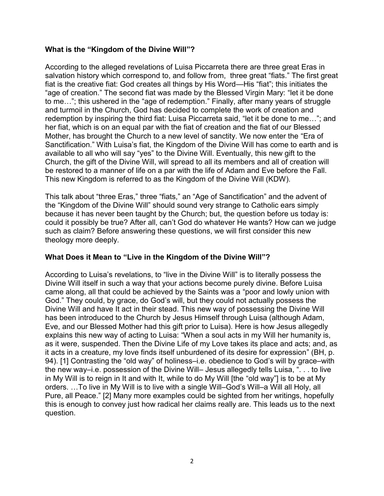### **What is the "Kingdom of the Divine Will"?**

According to the alleged revelations of Luisa Piccarreta there are three great Eras in salvation history which correspond to, and follow from, three great "fiats." The first great fiat is the creative fiat: God creates all things by His Word—His "fiat"; this initiates the "age of creation." The second fiat was made by the Blessed Virgin Mary: "let it be done to me…"; this ushered in the "age of redemption." Finally, after many years of struggle and turmoil in the Church, God has decided to complete the work of creation and redemption by inspiring the third fiat: Luisa Piccarreta said, "let it be done to me…"; and her fiat, which is on an equal par with the fiat of creation and the fiat of our Blessed Mother, has brought the Church to a new level of sanctity. We now enter the "Era of Sanctification." With Luisa's fiat, the Kingdom of the Divine Will has come to earth and is available to all who will say "yes" to the Divine Will. Eventually, this new gift to the Church, the gift of the Divine Will, will spread to all its members and all of creation will be restored to a manner of life on a par with the life of Adam and Eve before the Fall. This new Kingdom is referred to as the Kingdom of the Divine Will (KDW).

This talk about "three Eras," three "fiats," an "Age of Sanctification" and the advent of the "Kingdom of the Divine Will" should sound very strange to Catholic ears simply because it has never been taught by the Church; but, the question before us today is: could it possibly be true? After all, can't God do whatever He wants? How can we judge such as claim? Before answering these questions, we will first consider this new theology more deeply.

#### **What Does it Mean to "Live in the Kingdom of the Divine Will"?**

According to Luisa's revelations, to "live in the Divine Will" is to literally possess the Divine Will itself in such a way that your actions become purely divine. Before Luisa came along, all that could be achieved by the Saints was a "poor and lowly union with God." They could, by grace, do God's will, but they could not actually possess the Divine Will and have It act in their stead. This new way of possessing the Divine Will has been introduced to the Church by Jesus Himself through Luisa (although Adam, Eve, and our Blessed Mother had this gift prior to Luisa). Here is how Jesus allegedly explains this new way of acting to Luisa: "When a soul acts in my Will her humanity is, as it were, suspended. Then the Divine Life of my Love takes its place and acts; and, as it acts in a creature, my love finds itself unburdened of its desire for expression" (BH, p. 94). [1] Contrasting the "old way" of holiness–i.e. obedience to God's will by grace–with the new way–i.e. possession of the Divine Will– Jesus allegedly tells Luisa, ". . . to live in My Will is to reign in It and with It, while to do My Will [the "old way"] is to be at My orders. …To live in My Will is to live with a single Will–God's Will–a Will all Holy, all Pure, all Peace." [2] Many more examples could be sighted from her writings, hopefully this is enough to convey just how radical her claims really are. This leads us to the next question.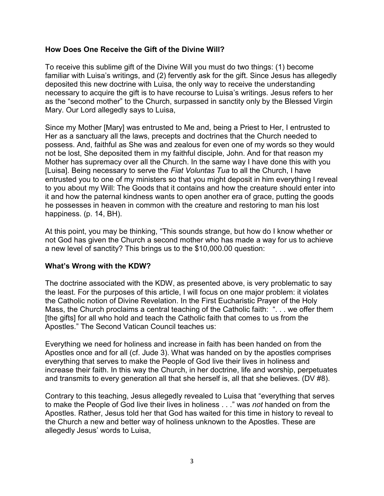#### **How Does One Receive the Gift of the Divine Will?**

To receive this sublime gift of the Divine Will you must do two things: (1) become familiar with Luisa's writings, and (2) fervently ask for the gift. Since Jesus has allegedly deposited this new doctrine with Luisa, the only way to receive the understanding necessary to acquire the gift is to have recourse to Luisa's writings. Jesus refers to her as the "second mother" to the Church, surpassed in sanctity only by the Blessed Virgin Mary. Our Lord allegedly says to Luisa,

Since my Mother [Mary] was entrusted to Me and, being a Priest to Her, I entrusted to Her as a sanctuary all the laws, precepts and doctrines that the Church needed to possess. And, faithful as She was and zealous for even one of my words so they would not be lost, She deposited them in my faithful disciple, John. And for that reason my Mother has supremacy over all the Church. In the same way I have done this with you [Luisa]. Being necessary to serve the *Fiat Voluntas Tua* to all the Church, I have entrusted you to one of my ministers so that you might deposit in him everything I reveal to you about my Will: The Goods that it contains and how the creature should enter into it and how the paternal kindness wants to open another era of grace, putting the goods he possesses in heaven in common with the creature and restoring to man his lost happiness. (p. 14, BH).

At this point, you may be thinking, "This sounds strange, but how do I know whether or not God has given the Church a second mother who has made a way for us to achieve a new level of sanctity? This brings us to the \$10,000.00 question:

# **What's Wrong with the KDW?**

The doctrine associated with the KDW, as presented above, is very problematic to say the least. For the purposes of this article, I will focus on one major problem: it violates the Catholic notion of Divine Revelation. In the First Eucharistic Prayer of the Holy Mass, the Church proclaims a central teaching of the Catholic faith: ". . . we offer them [the gifts] for all who hold and teach the Catholic faith that comes to us from the Apostles." The Second Vatican Council teaches us:

Everything we need for holiness and increase in faith has been handed on from the Apostles once and for all (cf. Jude 3). What was handed on by the apostles comprises everything that serves to make the People of God live their lives in holiness and increase their faith. In this way the Church, in her doctrine, life and worship, perpetuates and transmits to every generation all that she herself is, all that she believes. (DV #8).

Contrary to this teaching, Jesus allegedly revealed to Luisa that "everything that serves to make the People of God live their lives in holiness . . ." was *not* handed on from the Apostles. Rather, Jesus told her that God has waited for this time in history to reveal to the Church a new and better way of holiness unknown to the Apostles. These are allegedly Jesus' words to Luisa,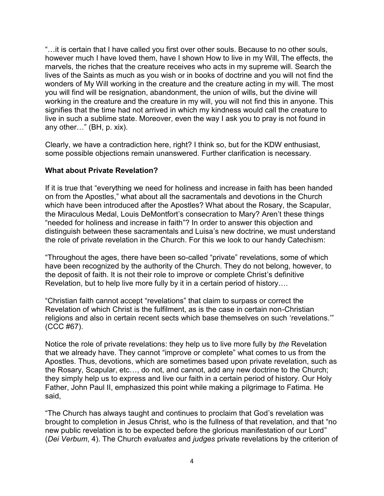"…it is certain that I have called you first over other souls. Because to no other souls, however much I have loved them, have I shown How to live in my Will, The effects, the marvels, the riches that the creature receives who acts in my supreme will. Search the lives of the Saints as much as you wish or in books of doctrine and you will not find the wonders of My Will working in the creature and the creature acting in my will. The most you will find will be resignation, abandonment, the union of wills, but the divine will working in the creature and the creature in my will, you will not find this in anyone. This signifies that the time had not arrived in which my kindness would call the creature to live in such a sublime state. Moreover, even the way I ask you to pray is not found in any other…" (BH, p. xix).

Clearly, we have a contradiction here, right? I think so, but for the KDW enthusiast, some possible objections remain unanswered. Further clarification is necessary.

### **What about Private Revelation?**

If it is true that "everything we need for holiness and increase in faith has been handed on from the Apostles," what about all the sacramentals and devotions in the Church which have been introduced after the Apostles? What about the Rosary, the Scapular, the Miraculous Medal, Louis DeMontfort's consecration to Mary? Aren't these things "needed for holiness and increase in faith"? In order to answer this objection and distinguish between these sacramentals and Luisa's new doctrine, we must understand the role of private revelation in the Church. For this we look to our handy Catechism:

"Throughout the ages, there have been so-called "private" revelations, some of which have been recognized by the authority of the Church. They do not belong, however, to the deposit of faith. It is not their role to improve or complete Christ's definitive Revelation, but to help live more fully by it in a certain period of history….

"Christian faith cannot accept "revelations" that claim to surpass or correct the Revelation of which Christ is the fulfilment, as is the case in certain non-Christian religions and also in certain recent sects which base themselves on such 'revelations.'" (CCC #67).

Notice the role of private revelations: they help us to live more fully by *the* Revelation that we already have. They cannot "improve or complete" what comes to us from the Apostles. Thus, devotions, which are sometimes based upon private revelation, such as the Rosary, Scapular, etc…, do not, and cannot, add any new doctrine to the Church; they simply help us to express and live our faith in a certain period of history. Our Holy Father, John Paul II, emphasized this point while making a pilgrimage to Fatima. He said,

"The Church has always taught and continues to proclaim that God's revelation was brought to completion in Jesus Christ, who is the fullness of that revelation, and that "no new public revelation is to be expected before the glorious manifestation of our Lord" (*Dei Verbum*, 4). The Church *evaluates* and *judges* private revelations by the criterion of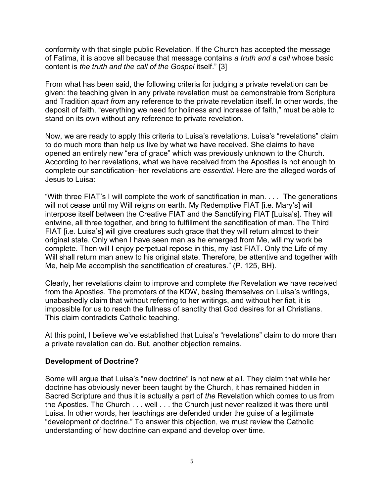conformity with that single public Revelation. If the Church has accepted the message of Fatima, it is above all because that message contains *a truth and a call* whose basic content is *the truth and the call of the Gospel* itself." [3]

From what has been said, the following criteria for judging a private revelation can be given: the teaching given in any private revelation must be demonstrable from Scripture and Tradition *apart from* any reference to the private revelation itself. In other words, the deposit of faith, "everything we need for holiness and increase of faith," must be able to stand on its own without any reference to private revelation.

Now, we are ready to apply this criteria to Luisa's revelations. Luisa's "revelations" claim to do much more than help us live by what we have received. She claims to have opened an entirely new "era of grace" which was previously unknown to the Church. According to her revelations, what we have received from the Apostles is not enough to complete our sanctification–her revelations are *essential*. Here are the alleged words of Jesus to Luisa:

"With three FIAT's I will complete the work of sanctification in man. . . . The generations will not cease until my Will reigns on earth. My Redemptive FIAT [i.e. Mary's] will interpose itself between the Creative FIAT and the Sanctifying FIAT [Luisa's]. They will entwine, all three together, and bring to fulfillment the sanctification of man. The Third FIAT [i.e. Luisa's] will give creatures such grace that they will return almost to their original state. Only when I have seen man as he emerged from Me, will my work be complete. Then will I enjoy perpetual repose in this, my last FIAT. Only the Life of my Will shall return man anew to his original state. Therefore, be attentive and together with Me, help Me accomplish the sanctification of creatures." (P. 125, BH).

Clearly, her revelations claim to improve and complete *the* Revelation we have received from the Apostles. The promoters of the KDW, basing themselves on Luisa's writings, unabashedly claim that without referring to her writings, and without her fiat, it is impossible for us to reach the fullness of sanctity that God desires for all Christians. This claim contradicts Catholic teaching.

At this point, I believe we've established that Luisa's "revelations" claim to do more than a private revelation can do. But, another objection remains.

#### **Development of Doctrine?**

Some will argue that Luisa's "new doctrine" is not new at all. They claim that while her doctrine has obviously never been taught by the Church, it has remained hidden in Sacred Scripture and thus it is actually a part of *the* Revelation which comes to us from the Apostles. The Church . . . well . . . the Church just never realized it was there until Luisa. In other words, her teachings are defended under the guise of a legitimate "development of doctrine." To answer this objection, we must review the Catholic understanding of how doctrine can expand and develop over time.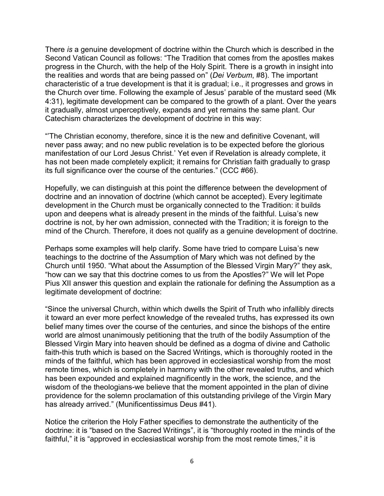There *is* a genuine development of doctrine within the Church which is described in the Second Vatican Council as follows: "The Tradition that comes from the apostles makes progress in the Church, with the help of the Holy Spirit. There is a growth in insight into the realities and words that are being passed on" (*Dei Verbum*, #8). The important characteristic of a true development is that it is gradual; i.e., it progresses and grows in the Church over time. Following the example of Jesus' parable of the mustard seed (Mk 4:31), legitimate development can be compared to the growth of a plant. Over the years it gradually, almost unperceptively, expands and yet remains the same plant. Our Catechism characterizes the development of doctrine in this way:

"'The Christian economy, therefore, since it is the new and definitive Covenant, will never pass away; and no new public revelation is to be expected before the glorious manifestation of our Lord Jesus Christ.' Yet even if Revelation is already complete, it has not been made completely explicit; it remains for Christian faith gradually to grasp its full significance over the course of the centuries." (CCC #66).

Hopefully, we can distinguish at this point the difference between the development of doctrine and an innovation of doctrine (which cannot be accepted). Every legitimate development in the Church must be organically connected to the Tradition: it builds upon and deepens what is already present in the minds of the faithful. Luisa's new doctrine is not, by her own admission, connected with the Tradition; it is foreign to the mind of the Church. Therefore, it does not qualify as a genuine development of doctrine.

Perhaps some examples will help clarify. Some have tried to compare Luisa's new teachings to the doctrine of the Assumption of Mary which was not defined by the Church until 1950. "What about the Assumption of the Blessed Virgin Mary?" they ask, "how can we say that this doctrine comes to us from the Apostles?" We will let Pope Pius XII answer this question and explain the rationale for defining the Assumption as a legitimate development of doctrine:

"Since the universal Church, within which dwells the Spirit of Truth who infallibly directs it toward an ever more perfect knowledge of the revealed truths, has expressed its own belief many times over the course of the centuries, and since the bishops of the entire world are almost unanimously petitioning that the truth of the bodily Assumption of the Blessed Virgin Mary into heaven should be defined as a dogma of divine and Catholic faith-this truth which is based on the Sacred Writings, which is thoroughly rooted in the minds of the faithful, which has been approved in ecclesiastical worship from the most remote times, which is completely in harmony with the other revealed truths, and which has been expounded and explained magnificently in the work, the science, and the wisdom of the theologians-we believe that the moment appointed in the plan of divine providence for the solemn proclamation of this outstanding privilege of the Virgin Mary has already arrived." (Munificentissimus Deus #41).

Notice the criterion the Holy Father specifies to demonstrate the authenticity of the doctrine: it is "based on the Sacred Writings", it is "thoroughly rooted in the minds of the faithful," it is "approved in ecclesiastical worship from the most remote times," it is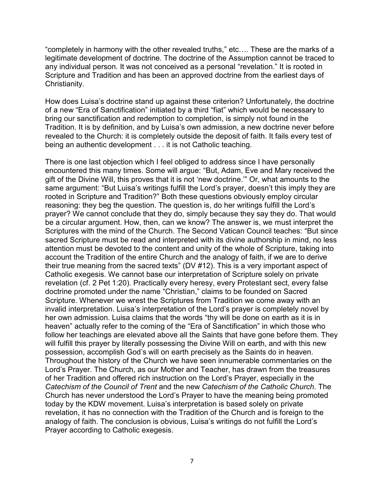"completely in harmony with the other revealed truths," etc…. These are the marks of a legitimate development of doctrine. The doctrine of the Assumption cannot be traced to any individual person. It was not conceived as a personal "revelation." It is rooted in Scripture and Tradition and has been an approved doctrine from the earliest days of Christianity.

How does Luisa's doctrine stand up against these criterion? Unfortunately, the doctrine of a new "Era of Sanctification" initiated by a third "fiat" which would be necessary to bring our sanctification and redemption to completion, is simply not found in the Tradition. It is by definition, and by Luisa's own admission, a new doctrine never before revealed to the Church: it is completely outside the deposit of faith. It fails every test of being an authentic development . . . it is not Catholic teaching.

There is one last objection which I feel obliged to address since I have personally encountered this many times. Some will argue: "But, Adam, Eve and Mary received the gift of the Divine Will, this proves that it is not 'new doctrine.'" Or, what amounts to the same argument: "But Luisa's writings fulfill the Lord's prayer, doesn't this imply they are rooted in Scripture and Tradition?" Both these questions obviously employ circular reasoning: they beg the question. The question is, do her writings fulfill the Lord's prayer? We cannot conclude that they do, simply because they say they do. That would be a circular argument. How, then, can we know? The answer is, we must interpret the Scriptures with the mind of the Church. The Second Vatican Council teaches: "But since sacred Scripture must be read and interpreted with its divine authorship in mind, no less attention must be devoted to the content and unity of the whole of Scripture, taking into account the Tradition of the entire Church and the analogy of faith, if we are to derive their true meaning from the sacred texts" (DV #12). This is a very important aspect of Catholic exegesis. We cannot base our interpretation of Scripture solely on private revelation (cf. 2 Pet 1:20). Practically every heresy, every Protestant sect, every false doctrine promoted under the name "Christian," claims to be founded on Sacred Scripture. Whenever we wrest the Scriptures from Tradition we come away with an invalid interpretation. Luisa's interpretation of the Lord's prayer is completely novel by her own admission. Luisa claims that the words "thy will be done on earth as it is in heaven" actually refer to the coming of the "Era of Sanctification" in which those who follow her teachings are elevated above all the Saints that have gone before them. They will fulfill this prayer by literally possessing the Divine Will on earth, and with this new possession, accomplish God's will on earth precisely as the Saints do in heaven. Throughout the history of the Church we have seen innumerable commentaries on the Lord's Prayer. The Church, as our Mother and Teacher, has drawn from the treasures of her Tradition and offered rich instruction on the Lord's Prayer, especially in the *Catechism of the Council of Trent* and the new *Catechism of the Catholic Church*. The Church has never understood the Lord's Prayer to have the meaning being promoted today by the KDW movement. Luisa's interpretation is based solely on private revelation, it has no connection with the Tradition of the Church and is foreign to the analogy of faith. The conclusion is obvious, Luisa's writings do not fulfill the Lord's Prayer according to Catholic exegesis.